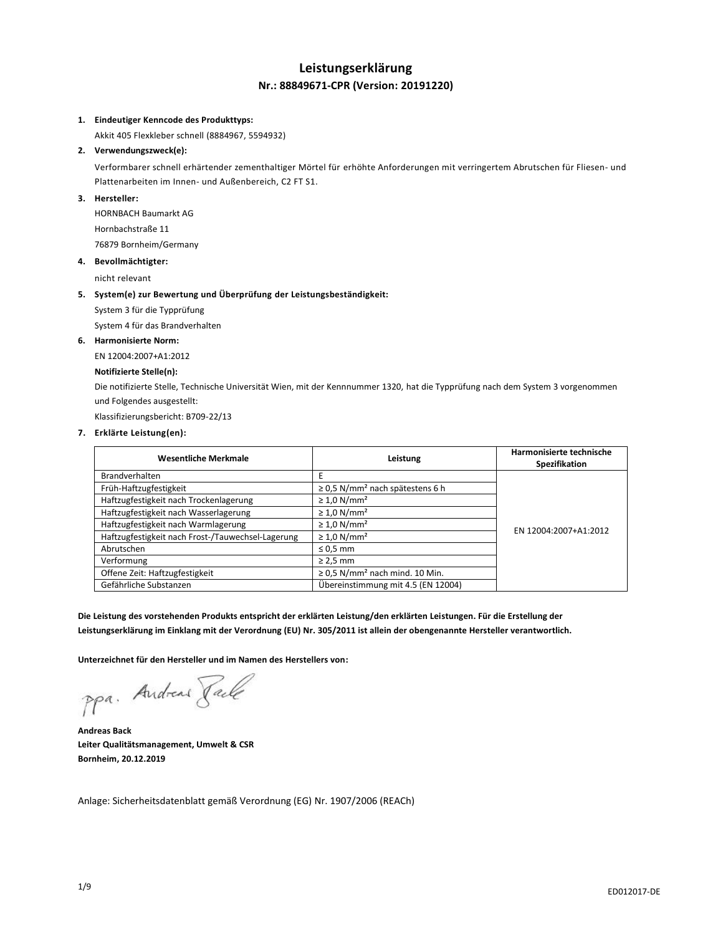## **Leistungserklärung Nr.: 88849671-CPR (Version: 20191220)**

#### **1. Eindeutiger Kenncode des Produkttyps:**

Akkit 405 Flexkleber schnell (8884967, 5594932)

## **2. Verwendungszweck(e):**

Verformbarer schnell erhärtender zementhaltiger Mörtel für erhöhte Anforderungen mit verringertem Abrutschen für Fliesen- und Plattenarbeiten im Innen- und Außenbereich, C2 FT S1.

## **3. Hersteller:**

HORNBACH Baumarkt AG Hornbachstraße 11 76879 Bornheim/Germany

#### **4. Bevollmächtigter:**

nicht relevant

#### **5. System(e) zur Bewertung und Überprüfung der Leistungsbeständigkeit:**

System 3 für die Typprüfung

System 4 für das Brandverhalten

## **6. Harmonisierte Norm:**

EN 12004:2007+A1:2012

## **Notifizierte Stelle(n):**

Die notifizierte Stelle, Technische Universität Wien, mit der Kennnummer 1320, hat die Typprüfung nach dem System 3 vorgenommen und Folgendes ausgestellt:

Klassifizierungsbericht: B709-22/13

## **7. Erklärte Leistung(en):**

| <b>Wesentliche Merkmale</b>                       | Leistung                                         | Harmonisierte technische<br>Spezifikation |
|---------------------------------------------------|--------------------------------------------------|-------------------------------------------|
| Brandverhalten                                    | Е                                                |                                           |
| Früh-Haftzugfestigkeit                            | $\geq$ 0.5 N/mm <sup>2</sup> nach spätestens 6 h |                                           |
| Haftzugfestigkeit nach Trockenlagerung            | $\geq 1.0$ N/mm <sup>2</sup>                     |                                           |
| Haftzugfestigkeit nach Wasserlagerung             | $\geq 1.0$ N/mm <sup>2</sup>                     |                                           |
| Haftzugfestigkeit nach Warmlagerung               | $\geq 1.0$ N/mm <sup>2</sup>                     | EN 12004:2007+A1:2012                     |
| Haftzugfestigkeit nach Frost-/Tauwechsel-Lagerung | $\geq 1.0$ N/mm <sup>2</sup>                     |                                           |
| Abrutschen                                        | $\leq 0.5$ mm                                    |                                           |
| Verformung                                        | $\geq$ 2,5 mm                                    |                                           |
| Offene Zeit: Haftzugfestigkeit                    | $\geq$ 0.5 N/mm <sup>2</sup> nach mind. 10 Min.  |                                           |
| Gefährliche Substanzen                            | Übereinstimmung mit 4.5 (EN 12004)               |                                           |

**Die Leistung des vorstehenden Produkts entspricht der erklärten Leistung/den erklärten Leistungen. Für die Erstellung der Leistungserklärung im Einklang mit der Verordnung (EU) Nr. 305/2011 ist allein der obengenannte Hersteller verantwortlich.**

**Unterzeichnet für den Hersteller und im Namen des Herstellers von:**

ppa. Andreas Pale

**Andreas Back Leiter Qualitätsmanagement, Umwelt & CSR Bornheim, 20.12.2019**

Anlage: Sicherheitsdatenblatt gemäß Verordnung (EG) Nr. 1907/2006 (REACh)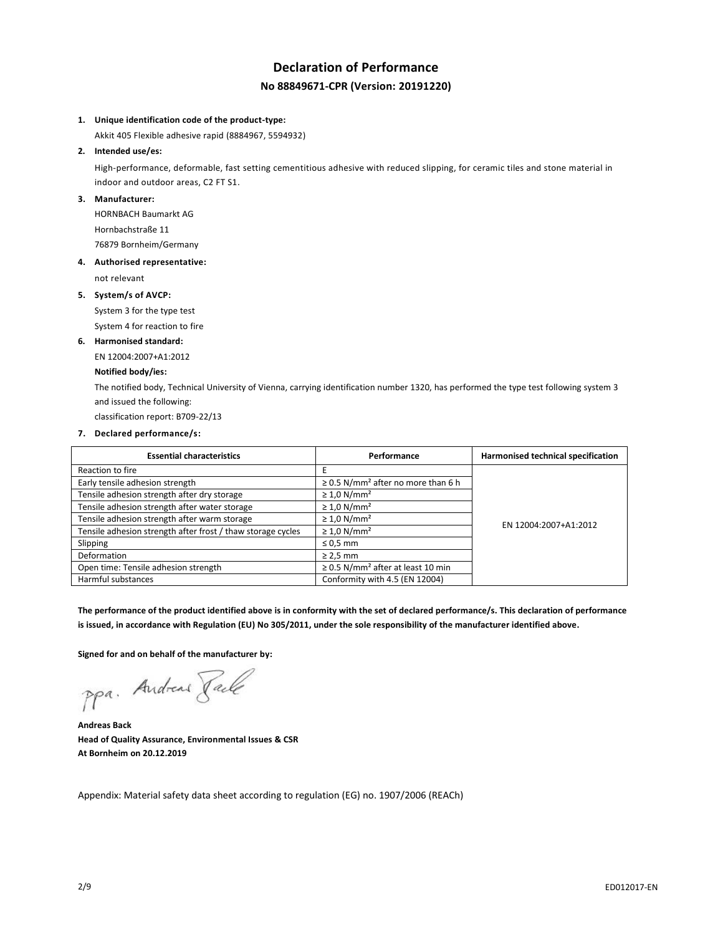# **Declaration of Performance No 88849671-CPR (Version: 20191220)**

#### **1. Unique identification code of the product-type:**

Akkit 405 Flexible adhesive rapid (8884967, 5594932)

## **2. Intended use/es:**

High-performance, deformable, fast setting cementitious adhesive with reduced slipping, for ceramic tiles and stone material in indoor and outdoor areas, C2 FT S1.

## **3. Manufacturer:**

HORNBACH Baumarkt AG Hornbachstraße 11 76879 Bornheim/Germany

#### **4. Authorised representative:**

not relevant

#### **5. System/s of AVCP:**

System 3 for the type test

System 4 for reaction to fire

#### **6. Harmonised standard:**

EN 12004:2007+A1:2012

## **Notified body/ies:**

The notified body, Technical University of Vienna, carrying identification number 1320, has performed the type test following system 3 and issued the following:

classification report: B709-22/13

## **7. Declared performance/s:**

| <b>Essential characteristics</b>                            | Performance                                         | Harmonised technical specification |  |
|-------------------------------------------------------------|-----------------------------------------------------|------------------------------------|--|
| Reaction to fire                                            | E                                                   |                                    |  |
| Early tensile adhesion strength                             | $\geq$ 0.5 N/mm <sup>2</sup> after no more than 6 h |                                    |  |
| Tensile adhesion strength after dry storage                 | $\geq 1.0$ N/mm <sup>2</sup>                        |                                    |  |
| Tensile adhesion strength after water storage               | $\geq 1.0$ N/mm <sup>2</sup>                        |                                    |  |
| Tensile adhesion strength after warm storage                | $\geq 1.0$ N/mm <sup>2</sup>                        | EN 12004:2007+A1:2012              |  |
| Tensile adhesion strength after frost / thaw storage cycles | $\geq 1.0$ N/mm <sup>2</sup>                        |                                    |  |
| Slipping                                                    | $\leq 0.5$ mm                                       |                                    |  |
| Deformation                                                 | $\geq$ 2,5 mm                                       |                                    |  |
| Open time: Tensile adhesion strength                        | $\geq$ 0.5 N/mm <sup>2</sup> after at least 10 min  |                                    |  |
| Harmful substances                                          | Conformity with 4.5 (EN 12004)                      |                                    |  |

**The performance of the product identified above is in conformity with the set of declared performance/s. This declaration of performance is issued, in accordance with Regulation (EU) No 305/2011, under the sole responsibility of the manufacturer identified above.**

**Signed for and on behalf of the manufacturer by:**

ppa. Andreas Faile

**Andreas Back Head of Quality Assurance, Environmental Issues & CSR At Bornheim on 20.12.2019**

Appendix: Material safety data sheet according to regulation (EG) no. 1907/2006 (REACh)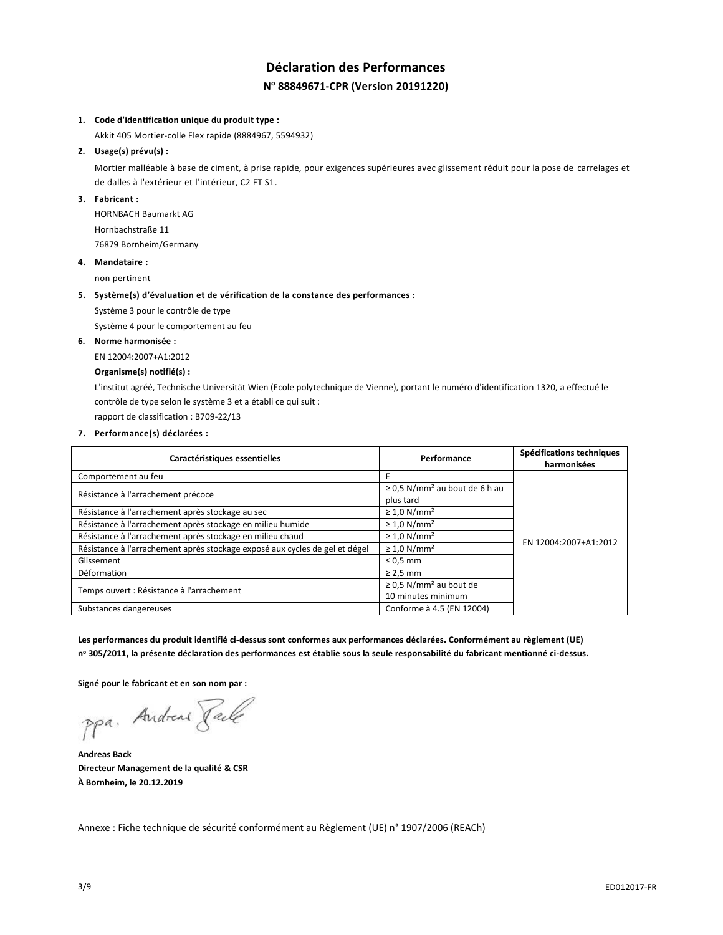# **Déclaration des Performances N <sup>o</sup> 88849671-CPR (Version 20191220)**

#### **1. Code d'identification unique du produit type :**

Akkit 405 Mortier-colle Flex rapide (8884967, 5594932)

## **2. Usage(s) prévu(s) :**

Mortier malléable à base de ciment, à prise rapide, pour exigences supérieures avec glissement réduit pour la pose de carrelages et de dalles à l'extérieur et l'intérieur, C2 FT S1.

## **3. Fabricant :**

HORNBACH Baumarkt AG Hornbachstraße 11 76879 Bornheim/Germany

#### **4. Mandataire :**

non pertinent

#### **5. Système(s) d'évaluation et de vérification de la constance des performances :**

Système 3 pour le contrôle de type

Système 4 pour le comportement au feu

## **6. Norme harmonisée :**

EN 12004:2007+A1:2012

## **Organisme(s) notifié(s) :**

L'institut agréé, Technische Universität Wien (Ecole polytechnique de Vienne), portant le numéro d'identification 1320, a effectué le contrôle de type selon le système 3 et a établi ce qui suit :

rapport de classification : B709-22/13

**7. Performance(s) déclarées :**

| Caractéristiques essentielles                                               | Performance                                                   | Spécifications techniques<br>harmonisées |
|-----------------------------------------------------------------------------|---------------------------------------------------------------|------------------------------------------|
| Comportement au feu                                                         | E                                                             |                                          |
| Résistance à l'arrachement précoce                                          | $\geq$ 0.5 N/mm <sup>2</sup> au bout de 6 h au<br>plus tard   |                                          |
| Résistance à l'arrachement après stockage au sec                            | $\geq 1.0$ N/mm <sup>2</sup>                                  |                                          |
| Résistance à l'arrachement après stockage en milieu humide                  | $\geq 1.0$ N/mm <sup>2</sup>                                  |                                          |
| Résistance à l'arrachement après stockage en milieu chaud                   | $\geq 1.0$ N/mm <sup>2</sup>                                  | EN 12004:2007+A1:2012                    |
| Résistance à l'arrachement après stockage exposé aux cycles de gel et dégel | $\geq 1.0$ N/mm <sup>2</sup>                                  |                                          |
| Glissement                                                                  | $\leq 0.5$ mm                                                 |                                          |
| Déformation                                                                 | $\geq$ 2,5 mm                                                 |                                          |
| Temps ouvert : Résistance à l'arrachement                                   | $\geq$ 0,5 N/mm <sup>2</sup> au bout de<br>10 minutes minimum |                                          |
| Substances dangereuses                                                      | Conforme à 4.5 (EN 12004)                                     |                                          |

**Les performances du produit identifié ci-dessus sont conformes aux performances déclarées. Conformément au règlement (UE) n <sup>o</sup> 305/2011, la présente déclaration des performances est établie sous la seule responsabilité du fabricant mentionné ci-dessus.**

**Signé pour le fabricant et en son nom par :**

ppa. Andreas Paule

**Andreas Back Directeur Management de la qualité & CSR À Bornheim, le 20.12.2019**

Annexe : Fiche technique de sécurité conformément au Règlement (UE) n° 1907/2006 (REACh)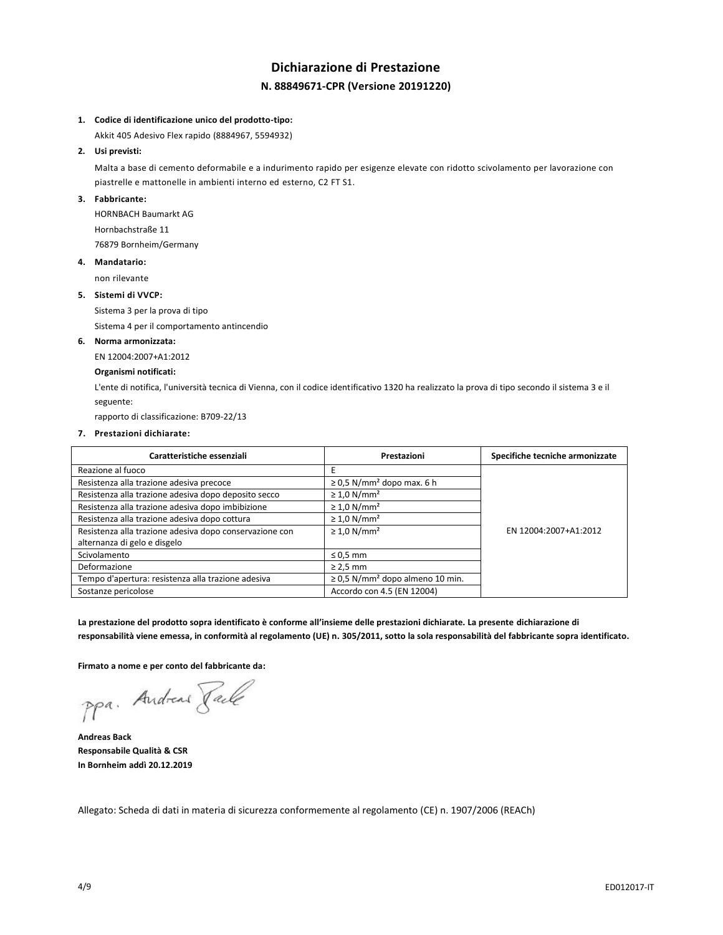# **Dichiarazione di Prestazione N. 88849671-CPR (Versione 20191220)**

#### **1. Codice di identificazione unico del prodotto-tipo:**

Akkit 405 Adesivo Flex rapido (8884967, 5594932)

## **2. Usi previsti:**

Malta a base di cemento deformabile e a indurimento rapido per esigenze elevate con ridotto scivolamento per lavorazione con piastrelle e mattonelle in ambienti interno ed esterno, C2 FT S1.

## **3. Fabbricante:**

HORNBACH Baumarkt AG Hornbachstraße 11 76879 Bornheim/Germany

## **4. Mandatario:**

non rilevante

### **5. Sistemi di VVCP:**

Sistema 3 per la prova di tipo

Sistema 4 per il comportamento antincendio

#### **6. Norma armonizzata:**

EN 12004:2007+A1:2012

## **Organismi notificati:**

L'ente di notifica, l'università tecnica di Vienna, con il codice identificativo 1320 ha realizzato la prova di tipo secondo il sistema 3 e il seguente:

rapporto di classificazione: B709-22/13

#### **7. Prestazioni dichiarate:**

| Caratteristiche essenziali                              | Prestazioni                                      | Specifiche tecniche armonizzate |
|---------------------------------------------------------|--------------------------------------------------|---------------------------------|
| Reazione al fuoco                                       |                                                  |                                 |
| Resistenza alla trazione adesiva precoce                | $\geq$ 0,5 N/mm <sup>2</sup> dopo max. 6 h       |                                 |
| Resistenza alla trazione adesiva dopo deposito secco    | $\geq 1.0$ N/mm <sup>2</sup>                     |                                 |
| Resistenza alla trazione adesiva dopo imbibizione       | $\geq 1.0$ N/mm <sup>2</sup>                     |                                 |
| Resistenza alla trazione adesiva dopo cottura           | $\geq 1.0$ N/mm <sup>2</sup>                     |                                 |
| Resistenza alla trazione adesiva dopo conservazione con | $\geq 1.0$ N/mm <sup>2</sup>                     | EN 12004:2007+A1:2012           |
| alternanza di gelo e disgelo                            |                                                  |                                 |
| Scivolamento                                            | $\leq 0.5$ mm                                    |                                 |
| Deformazione                                            | $\geq$ 2,5 mm                                    |                                 |
| Tempo d'apertura: resistenza alla trazione adesiva      | $\geq$ 0,5 N/mm <sup>2</sup> dopo almeno 10 min. |                                 |
| Sostanze pericolose                                     | Accordo con 4.5 (EN 12004)                       |                                 |

**La prestazione del prodotto sopra identificato è conforme all'insieme delle prestazioni dichiarate. La presente dichiarazione di responsabilità viene emessa, in conformità al regolamento (UE) n. 305/2011, sotto la sola responsabilità del fabbricante sopra identificato.**

**Firmato a nome e per conto del fabbricante da:**

ppa. Andreas Pale

**Andreas Back Responsabile Qualità & CSR In Bornheim addì 20.12.2019**

Allegato: Scheda di dati in materia di sicurezza conformemente al regolamento (CE) n. 1907/2006 (REACh)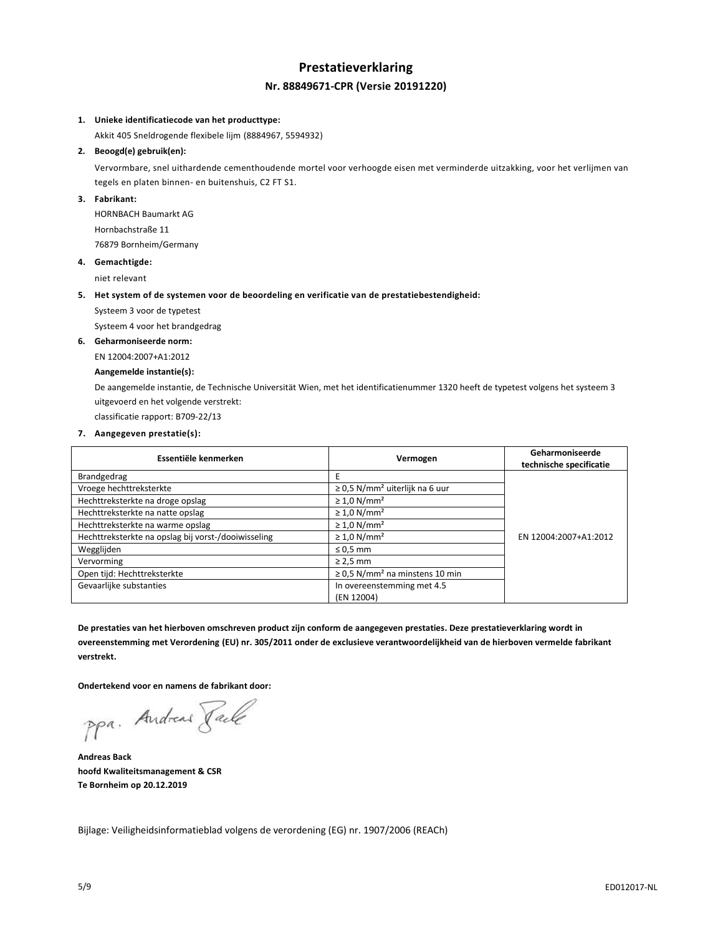# **Prestatieverklaring Nr. 88849671-CPR (Versie 20191220)**

## **1. Unieke identificatiecode van het producttype:**

Akkit 405 Sneldrogende flexibele lijm (8884967, 5594932)

## **2. Beoogd(e) gebruik(en):**

Vervormbare, snel uithardende cementhoudende mortel voor verhoogde eisen met verminderde uitzakking, voor het verlijmen van tegels en platen binnen- en buitenshuis, C2 FT S1.

## **3. Fabrikant:**

HORNBACH Baumarkt AG Hornbachstraße 11 76879 Bornheim/Germany

#### **4. Gemachtigde:**

niet relevant

#### **5. Het system of de systemen voor de beoordeling en verificatie van de prestatiebestendigheid:**

Systeem 3 voor de typetest

Systeem 4 voor het brandgedrag

#### **6. Geharmoniseerde norm:**

EN 12004:2007+A1:2012

## **Aangemelde instantie(s):**

De aangemelde instantie, de Technische Universität Wien, met het identificatienummer 1320 heeft de typetest volgens het systeem 3 uitgevoerd en het volgende verstrekt:

classificatie rapport: B709-22/13

## **7. Aangegeven prestatie(s):**

| Essentiële kenmerken                                | Vermogen                                        | Geharmoniseerde<br>technische specificatie |
|-----------------------------------------------------|-------------------------------------------------|--------------------------------------------|
| Brandgedrag                                         |                                                 |                                            |
| Vroege hechttreksterkte                             | $\geq$ 0.5 N/mm <sup>2</sup> uiterlijk na 6 uur |                                            |
| Hechttreksterkte na droge opslag                    | $\geq 1.0$ N/mm <sup>2</sup>                    |                                            |
| Hechttreksterkte na natte opslag                    | $\geq 1.0$ N/mm <sup>2</sup>                    |                                            |
| Hechttreksterkte na warme opslag                    | $\geq 1.0$ N/mm <sup>2</sup>                    |                                            |
| Hechttreksterkte na opslag bij vorst-/dooiwisseling | $\geq 1.0$ N/mm <sup>2</sup>                    | EN 12004:2007+A1:2012                      |
| Wegglijden                                          | $\leq 0.5$ mm                                   |                                            |
| Vervorming                                          | $\geq$ 2,5 mm                                   |                                            |
| Open tijd: Hechttreksterkte                         | $\geq$ 0.5 N/mm <sup>2</sup> na minstens 10 min |                                            |
| Gevaarlijke substanties                             | In overeenstemming met 4.5<br>(EN 12004)        |                                            |

**De prestaties van het hierboven omschreven product zijn conform de aangegeven prestaties. Deze prestatieverklaring wordt in overeenstemming met Verordening (EU) nr. 305/2011 onder de exclusieve verantwoordelijkheid van de hierboven vermelde fabrikant verstrekt.**

**Ondertekend voor en namens de fabrikant door:**

ppa. Andreas Pale

**Andreas Back hoofd Kwaliteitsmanagement & CSR Te Bornheim op 20.12.2019**

Bijlage: Veiligheidsinformatieblad volgens de verordening (EG) nr. 1907/2006 (REACh)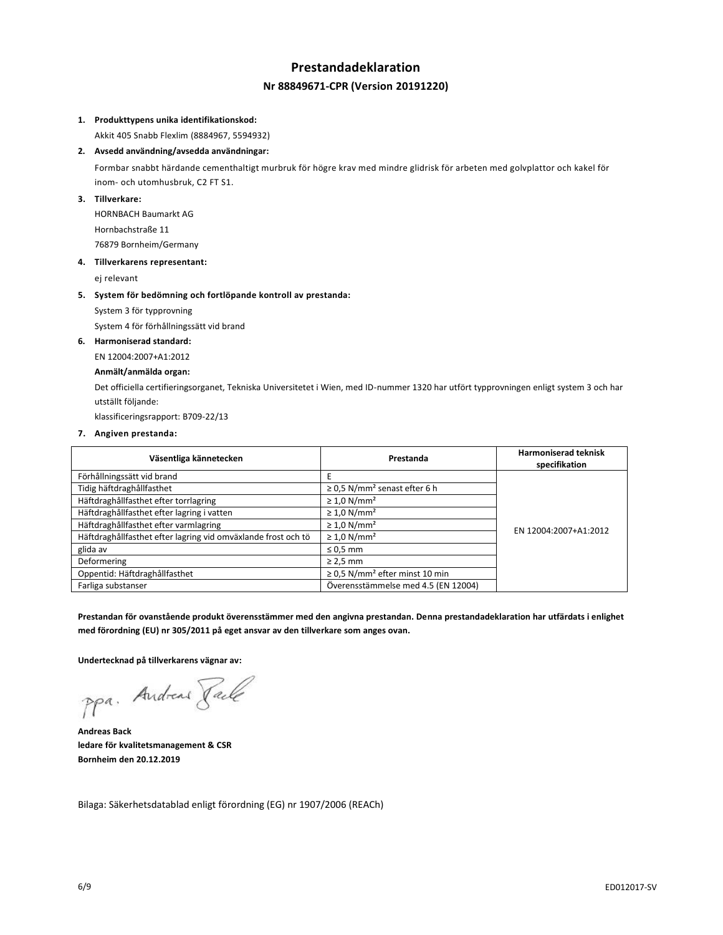# **Prestandadeklaration Nr 88849671-CPR (Version 20191220)**

## **1. Produkttypens unika identifikationskod:**

Akkit 405 Snabb Flexlim (8884967, 5594932)

## **2. Avsedd användning/avsedda användningar:**

Formbar snabbt härdande cementhaltigt murbruk för högre krav med mindre glidrisk för arbeten med golvplattor och kakel för inom- och utomhusbruk, C2 FT S1.

## **3. Tillverkare:**

HORNBACH Baumarkt AG Hornbachstraße 11 76879 Bornheim/Germany

#### **4. Tillverkarens representant:**

ej relevant

#### **5. System för bedömning och fortlöpande kontroll av prestanda:**

System 3 för typprovning

System 4 för förhållningssätt vid brand

## **6. Harmoniserad standard:**

EN 12004:2007+A1:2012

## **Anmält/anmälda organ:**

Det officiella certifieringsorganet, Tekniska Universitetet i Wien, med ID-nummer 1320 har utfört typprovningen enligt system 3 och har utställt följande:

klassificeringsrapport: B709-22/13

### **7. Angiven prestanda:**

| Väsentliga kännetecken                                        | Prestanda                                       | <b>Harmoniserad teknisk</b><br>specifikation |
|---------------------------------------------------------------|-------------------------------------------------|----------------------------------------------|
| Förhållningssätt vid brand                                    | Ε                                               |                                              |
| Tidig häftdraghållfasthet                                     | $\geq$ 0.5 N/mm <sup>2</sup> senast efter 6 h   |                                              |
| Häftdraghållfasthet efter torrlagring                         | $\geq 1.0$ N/mm <sup>2</sup>                    |                                              |
| Häftdraghållfasthet efter lagring i vatten                    | $\geq 1.0$ N/mm <sup>2</sup>                    |                                              |
| Häftdraghållfasthet efter varmlagring                         | $\geq 1.0$ N/mm <sup>2</sup>                    | EN 12004:2007+A1:2012                        |
| Häftdraghållfasthet efter lagring vid omväxlande frost och tö | $\geq 1.0$ N/mm <sup>2</sup>                    |                                              |
| glida av                                                      | $\leq 0.5$ mm                                   |                                              |
| Deformering                                                   | $\geq$ 2,5 mm                                   |                                              |
| Oppentid: Häftdraghållfasthet                                 | $\geq$ 0.5 N/mm <sup>2</sup> efter minst 10 min |                                              |
| Farliga substanser                                            | Överensstämmelse med 4.5 (EN 12004)             |                                              |

**Prestandan för ovanstående produkt överensstämmer med den angivna prestandan. Denna prestandadeklaration har utfärdats i enlighet med förordning (EU) nr 305/2011 på eget ansvar av den tillverkare som anges ovan.**

**Undertecknad på tillverkarens vägnar av:**

ppa. Andreas Pale

**Andreas Back ledare för kvalitetsmanagement & CSR Bornheim den 20.12.2019**

Bilaga: Säkerhetsdatablad enligt förordning (EG) nr 1907/2006 (REACh)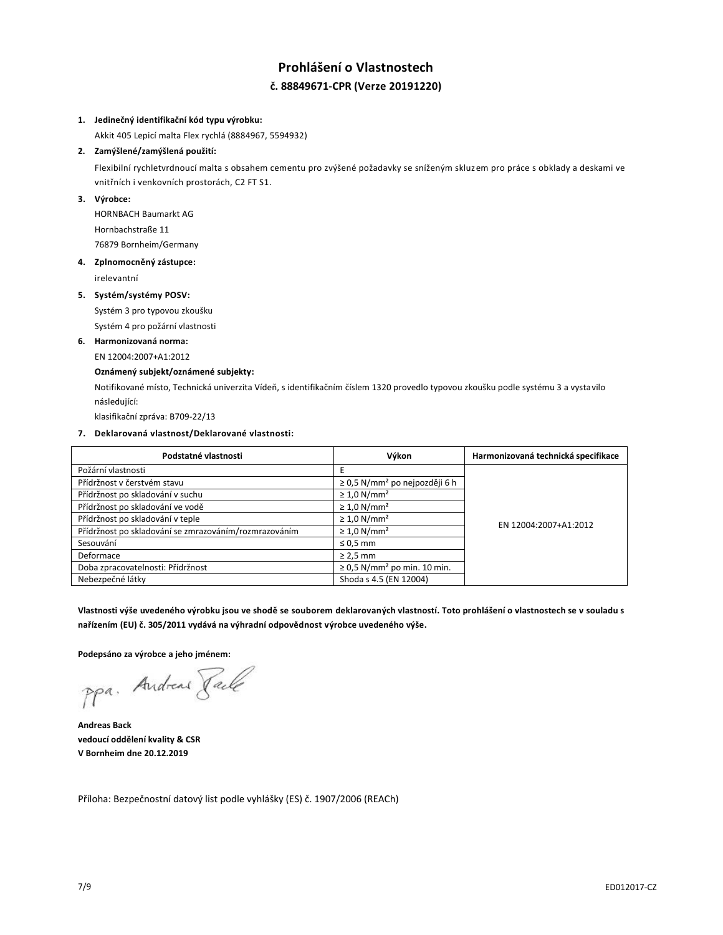# **Prohlášení o Vlastnostech č. 88849671-CPR (Verze 20191220)**

## **1. Jedinečný identifikační kód typu výrobku:**

Akkit 405 Lepicí malta Flex rychlá (8884967, 5594932)

## **2. Zamýšlené/zamýšlená použití:**

Flexibilní rychletvrdnoucí malta s obsahem cementu pro zvýšené požadavky se sníženým skluzem pro práce s obklady a deskami ve vnitřních i venkovních prostorách, C2 FT S1.

## **3. Výrobce:**

HORNBACH Baumarkt AG Hornbachstraße 11 76879 Bornheim/Germany

#### **4. Zplnomocněný zástupce:**

irelevantní

### **5. Systém/systémy POSV:**

Systém 3 pro typovou zkoušku

Systém 4 pro požární vlastnosti

## **6. Harmonizovaná norma:**

EN 12004:2007+A1:2012

## **Oznámený subjekt/oznámené subjekty:**

Notifikované místo, Technická univerzita Vídeň, s identifikačním číslem 1320 provedlo typovou zkoušku podle systému 3 a vystavilo následující:

klasifikační zpráva: B709-22/13

## **7. Deklarovaná vlastnost/Deklarované vlastnosti:**

| Podstatné vlastnosti                                  | Výkon                                          | Harmonizovaná technická specifikace |  |
|-------------------------------------------------------|------------------------------------------------|-------------------------------------|--|
| Požární vlastnosti                                    |                                                |                                     |  |
| Přídržnost v čerstvém stavu                           | $\geq$ 0,5 N/mm <sup>2</sup> po nejpozději 6 h |                                     |  |
| Přídržnost po skladování v suchu                      | $\geq 1.0$ N/mm <sup>2</sup>                   |                                     |  |
| Přídržnost po skladování ve vodě                      | $\geq 1.0$ N/mm <sup>2</sup>                   |                                     |  |
| Přídržnost po skladování v teple                      | $\geq 1.0$ N/mm <sup>2</sup>                   | EN 12004:2007+A1:2012               |  |
| Přídržnost po skladování se zmrazováním/rozmrazováním | $\geq 1.0$ N/mm <sup>2</sup>                   |                                     |  |
| Sesouvání                                             | $\leq 0.5$ mm                                  |                                     |  |
| Deformace                                             | $\geq$ 2,5 mm                                  |                                     |  |
| Doba zpracovatelnosti: Přídržnost                     | $\geq$ 0.5 N/mm <sup>2</sup> po min. 10 min.   |                                     |  |
| Nebezpečné látky                                      | Shoda s 4.5 (EN 12004)                         |                                     |  |

**Vlastnosti výše uvedeného výrobku jsou ve shodě se souborem deklarovaných vlastností. Toto prohlášení o vlastnostech se v souladu s nařízením (EU) č. 305/2011 vydává na výhradní odpovědnost výrobce uvedeného výše.**

**Podepsáno za výrobce a jeho jménem:**

ppa. Andreas Face

**Andreas Back vedoucí oddělení kvality & CSR V Bornheim dne 20.12.2019**

Příloha: Bezpečnostní datový list podle vyhlášky (ES) č. 1907/2006 (REACh)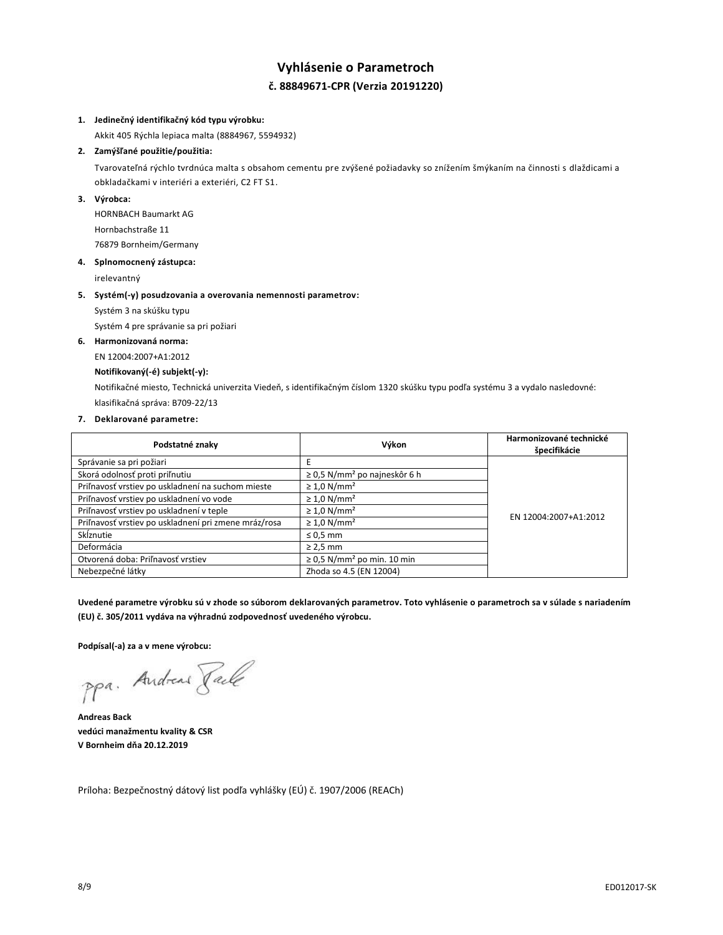# **Vyhlásenie o Parametroch č. 88849671-CPR (Verzia 20191220)**

## **1. Jedinečný identifikačný kód typu výrobku:**

Akkit 405 Rýchla lepiaca malta (8884967, 5594932)

## **2. Zamýšľané použitie/použitia:**

Tvarovateľná rýchlo tvrdnúca malta s obsahom cementu pre zvýšené požiadavky so znížením šmýkaním na činnosti s dlaždicami a obkladačkami v interiéri a exteriéri, C2 FT S1.

## **3. Výrobca:**

HORNBACH Baumarkt AG Hornbachstraße 11 76879 Bornheim/Germany

#### **4. Splnomocnený zástupca:**

irelevantný

#### **5. Systém(-y) posudzovania a overovania nemennosti parametrov:**

Systém 3 na skúšku typu

Systém 4 pre správanie sa pri požiari

## **6. Harmonizovaná norma:**

EN 12004:2007+A1:2012

#### **Notifikovaný(-é) subjekt(-y):**

Notifikačné miesto, Technická univerzita Viedeň, s identifikačným číslom 1320 skúšku typu podľa systému 3 a vydalo nasledovné: klasifikačná správa: B709-22/13

#### **7. Deklarované parametre:**

| Podstatné znaky                                      | Výkon                                         | Harmonizované technické<br>špecifikácie |
|------------------------------------------------------|-----------------------------------------------|-----------------------------------------|
| Správanie sa pri požiari                             |                                               |                                         |
| Skorá odolnosť proti priľnutiu                       | $\geq$ 0,5 N/mm <sup>2</sup> po najneskôr 6 h |                                         |
| Priľnavosť vrstiev po uskladnení na suchom mieste    | $\geq 1.0$ N/mm <sup>2</sup>                  |                                         |
| Priľnavosť vrstiev po uskladnení vo vode             | $\geq 1.0$ N/mm <sup>2</sup>                  |                                         |
| Priľnavosť vrstiev po uskladnení v teple             | $\geq 1.0$ N/mm <sup>2</sup>                  | EN 12004:2007+A1:2012                   |
| Priľnavosť vrstiev po uskladnení pri zmene mráz/rosa | $\geq 1.0$ N/mm <sup>2</sup>                  |                                         |
| Sklznutie                                            | $\leq 0.5$ mm                                 |                                         |
| Deformácia                                           | $\geq$ 2,5 mm                                 |                                         |
| Otvorená doba: Priľnavosť vrstiev                    | $\geq$ 0,5 N/mm <sup>2</sup> po min. 10 min   |                                         |
| Nebezpečné látky                                     | Zhoda so 4.5 (EN 12004)                       |                                         |

**Uvedené parametre výrobku sú v zhode so súborom deklarovaných parametrov. Toto vyhlásenie o parametroch sa v súlade s nariadením (EU) č. 305/2011 vydáva na výhradnú zodpovednosť uvedeného výrobcu.**

**Podpísal(-a) za a v mene výrobcu:**

ppa. Andreas Face

**Andreas Back vedúci manažmentu kvality & CSR V Bornheim dňa 20.12.2019**

Príloha: Bezpečnostný dátový list podľa vyhlášky (EÚ) č. 1907/2006 (REACh)